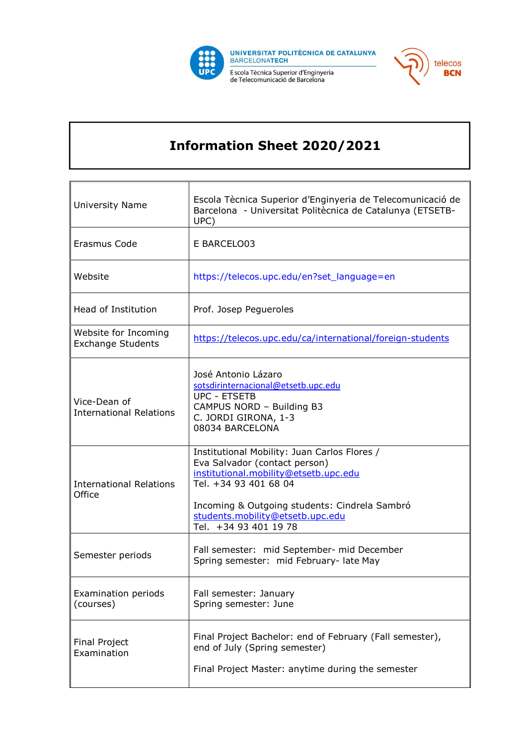



## Information Sheet 2020/2021

| <b>University Name</b>                           | Escola Tècnica Superior d'Enginyeria de Telecomunicació de<br>Barcelona - Universitat Politècnica de Catalunya (ETSETB-<br>UPC)                                                                                                                               |
|--------------------------------------------------|---------------------------------------------------------------------------------------------------------------------------------------------------------------------------------------------------------------------------------------------------------------|
| Erasmus Code                                     | E BARCELO03                                                                                                                                                                                                                                                   |
| Website                                          | https://telecos.upc.edu/en?set_language=en                                                                                                                                                                                                                    |
| Head of Institution                              | Prof. Josep Pegueroles                                                                                                                                                                                                                                        |
| Website for Incoming<br><b>Exchange Students</b> | https://telecos.upc.edu/ca/international/foreign-students                                                                                                                                                                                                     |
| Vice-Dean of<br><b>International Relations</b>   | José Antonio Lázaro<br>sotsdirinternacional@etsetb.upc.edu<br><b>UPC - ETSETB</b><br>CAMPUS NORD - Building B3<br>C. JORDI GIRONA, 1-3<br>08034 BARCELONA                                                                                                     |
| <b>International Relations</b><br>Office         | Institutional Mobility: Juan Carlos Flores /<br>Eva Salvador (contact person)<br>institutional.mobility@etsetb.upc.edu<br>Tel. +34 93 401 68 04<br>Incoming & Outgoing students: Cindrela Sambró<br>students.mobility@etsetb.upc.edu<br>Tel. +34 93 401 19 78 |
| Semester periods                                 | Fall semester: mid September- mid December<br>Spring semester: mid February- late May                                                                                                                                                                         |
| Examination periods<br>(courses)                 | Fall semester: January<br>Spring semester: June                                                                                                                                                                                                               |
| <b>Final Project</b><br>Examination              | Final Project Bachelor: end of February (Fall semester),<br>end of July (Spring semester)<br>Final Project Master: anytime during the semester                                                                                                                |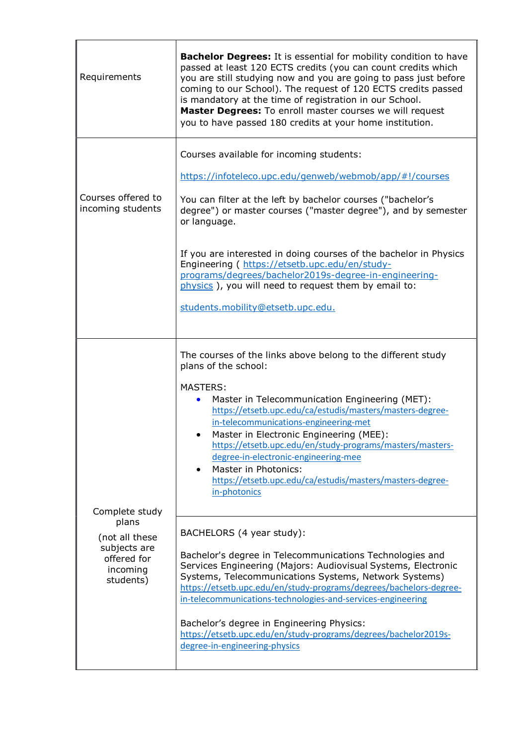| Requirements                                              | <b>Bachelor Degrees:</b> It is essential for mobility condition to have<br>passed at least 120 ECTS credits (you can count credits which<br>you are still studying now and you are going to pass just before<br>coming to our School). The request of 120 ECTS credits passed<br>is mandatory at the time of registration in our School.<br>Master Degrees: To enroll master courses we will request<br>you to have passed 180 credits at your home institution.                                                                                  |
|-----------------------------------------------------------|---------------------------------------------------------------------------------------------------------------------------------------------------------------------------------------------------------------------------------------------------------------------------------------------------------------------------------------------------------------------------------------------------------------------------------------------------------------------------------------------------------------------------------------------------|
| Courses offered to<br>incoming students                   | Courses available for incoming students:<br>https://infoteleco.upc.edu/genweb/webmob/app/#!/courses<br>You can filter at the left by bachelor courses ("bachelor's<br>degree") or master courses ("master degree"), and by semester<br>or language.<br>If you are interested in doing courses of the bachelor in Physics<br>Engineering ( https://etsetb.upc.edu/en/study-<br>programs/degrees/bachelor2019s-degree-in-engineering-<br>physics), you will need to request them by email to:<br>students.mobility@etsetb.upc.edu.                  |
| Complete study<br>plans<br>(not all these<br>subjects are | The courses of the links above belong to the different study<br>plans of the school:<br><b>MASTERS:</b><br>Master in Telecommunication Engineering (MET):<br>https://etsetb.upc.edu/ca/estudis/masters/masters-degree-<br>in-telecommunications-engineering-met<br>Master in Electronic Engineering (MEE):<br>https://etsetb.upc.edu/en/study-programs/masters/masters-<br>degree-in-electronic-engineering-mee<br>Master in Photonics:<br>https://etsetb.upc.edu/ca/estudis/masters/masters-degree-<br>in-photonics<br>BACHELORS (4 year study): |
| offered for<br>incoming<br>students)                      | Bachelor's degree in Telecommunications Technologies and<br>Services Engineering (Majors: Audiovisual Systems, Electronic<br>Systems, Telecommunications Systems, Network Systems)<br>https://etsetb.upc.edu/en/study-programs/degrees/bachelors-degree-<br>in-telecommunications-technologies-and-services-engineering<br>Bachelor's degree in Engineering Physics:<br>https://etsetb.upc.edu/en/study-programs/degrees/bachelor2019s-<br>degree-in-engineering-physics                                                                          |